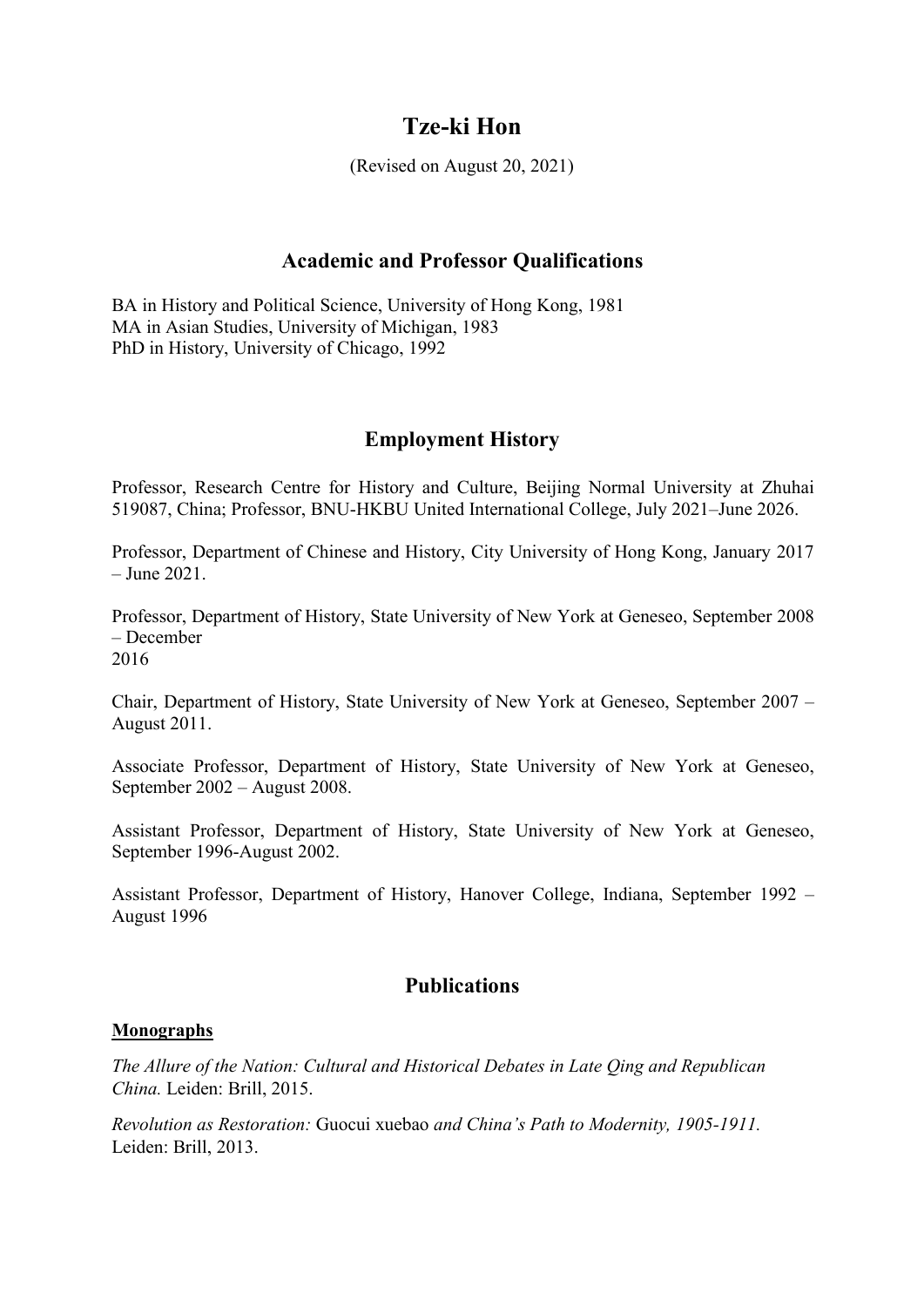# **Tze-ki Hon**

(Revised on August 20, 2021)

### **Academic and Professor Qualifications**

BA in History and Political Science, University of Hong Kong, 1981 MA in Asian Studies, University of Michigan, 1983 PhD in History, University of Chicago, 1992

### **Employment History**

Professor, Research Centre for History and Culture, Beijing Normal University at Zhuhai 519087, China; Professor, BNU-HKBU United International College, July 2021–June 2026.

Professor, Department of Chinese and History, City University of Hong Kong, January 2017 – June 2021.

Professor, Department of History, State University of New York at Geneseo, September 2008 – December 2016

Chair, Department of History, State University of New York at Geneseo, September 2007 – August 2011.

Associate Professor, Department of History, State University of New York at Geneseo, September 2002 – August 2008.

Assistant Professor, Department of History, State University of New York at Geneseo, September 1996-August 2002.

Assistant Professor, Department of History, Hanover College, Indiana, September 1992 – August 1996

## **Publications**

#### **Monographs**

*The Allure of the Nation: Cultural and Historical Debates in Late Qing and Republican China.* Leiden: Brill, 2015.

*Revolution as Restoration:* Guocui xuebao *and China's Path to Modernity, 1905-1911.* Leiden: Brill, 2013.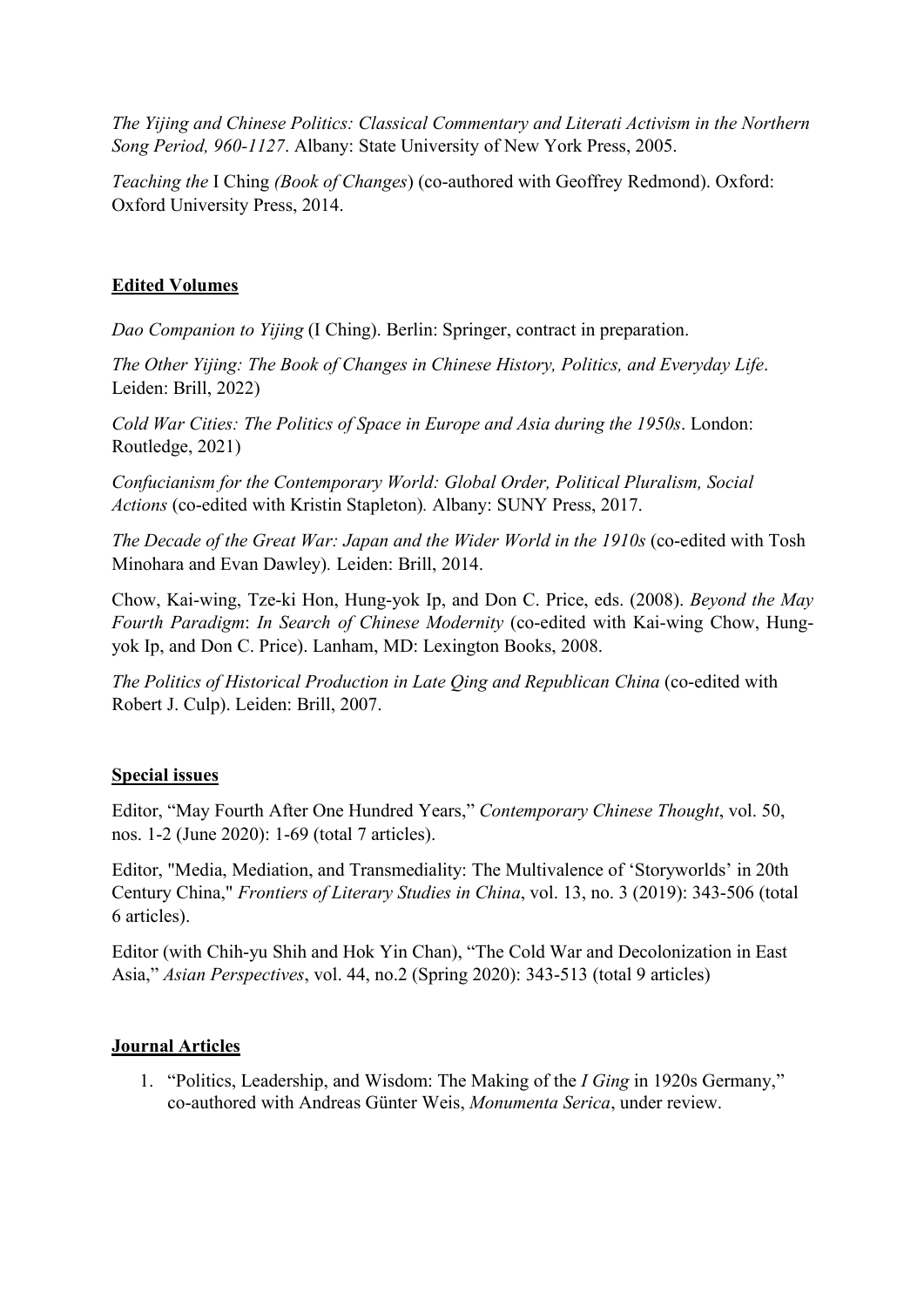*The Yijing and Chinese Politics: Classical Commentary and Literati Activism in the Northern Song Period, 960-1127*. Albany: State University of New York Press, 2005.

*Teaching the* I Ching *(Book of Changes*) (co-authored with Geoffrey Redmond).Oxford: Oxford University Press, 2014.

### **Edited Volumes**

*Dao Companion to Yijing* (I Ching). Berlin: Springer, contract in preparation.

*The Other Yijing: The Book of Changes in Chinese History, Politics, and Everyday Life*. Leiden: Brill, 2022)

*Cold War Cities: The Politics of Space in Europe and Asia during the 1950s*. London: Routledge, 2021)

*Confucianism for the Contemporary World: Global Order, Political Pluralism, Social Actions* (co-edited with Kristin Stapleton)*.* Albany: SUNY Press, 2017.

*The Decade of the Great War: Japan and the Wider World in the 1910s* (co-edited with Tosh Minohara and Evan Dawley)*.* Leiden: Brill, 2014.

Chow, Kai-wing, Tze-ki Hon, Hung-yok Ip, and Don C. Price, eds. (2008). *Beyond the May Fourth Paradigm: In Search of Chinese Modernity* (co-edited with Kai-wing Chow, Hungyok Ip, and Don C. Price). Lanham, MD: Lexington Books, 2008.

*The Politics of Historical Production in Late Qing and Republican China* (co-edited with Robert J. Culp). Leiden: Brill, 2007.

#### **Special issues**

Editor, "May Fourth After One Hundred Years," *Contemporary Chinese Thought*, vol. 50, nos. 1-2 (June 2020): 1-69 (total 7 articles).

Editor, "Media, Mediation, and Transmediality: The Multivalence of 'Storyworlds' in 20th Century China," *Frontiers of Literary Studies in China*, vol.13, no. 3 (2019): 343-506 (total 6 articles).

Editor (with Chih-yu Shih and Hok Yin Chan), "The Cold War and Decolonization in East Asia," *Asian Perspectives*, vol. 44, no.2 (Spring 2020): 343-513 (total 9 articles)

#### **Journal Articles**

1. "Politics, Leadership, and Wisdom: The Making of the *IGing* in 1920s Germany," co-authored with Andreas Günter Weis, *Monumenta Serica*, under review.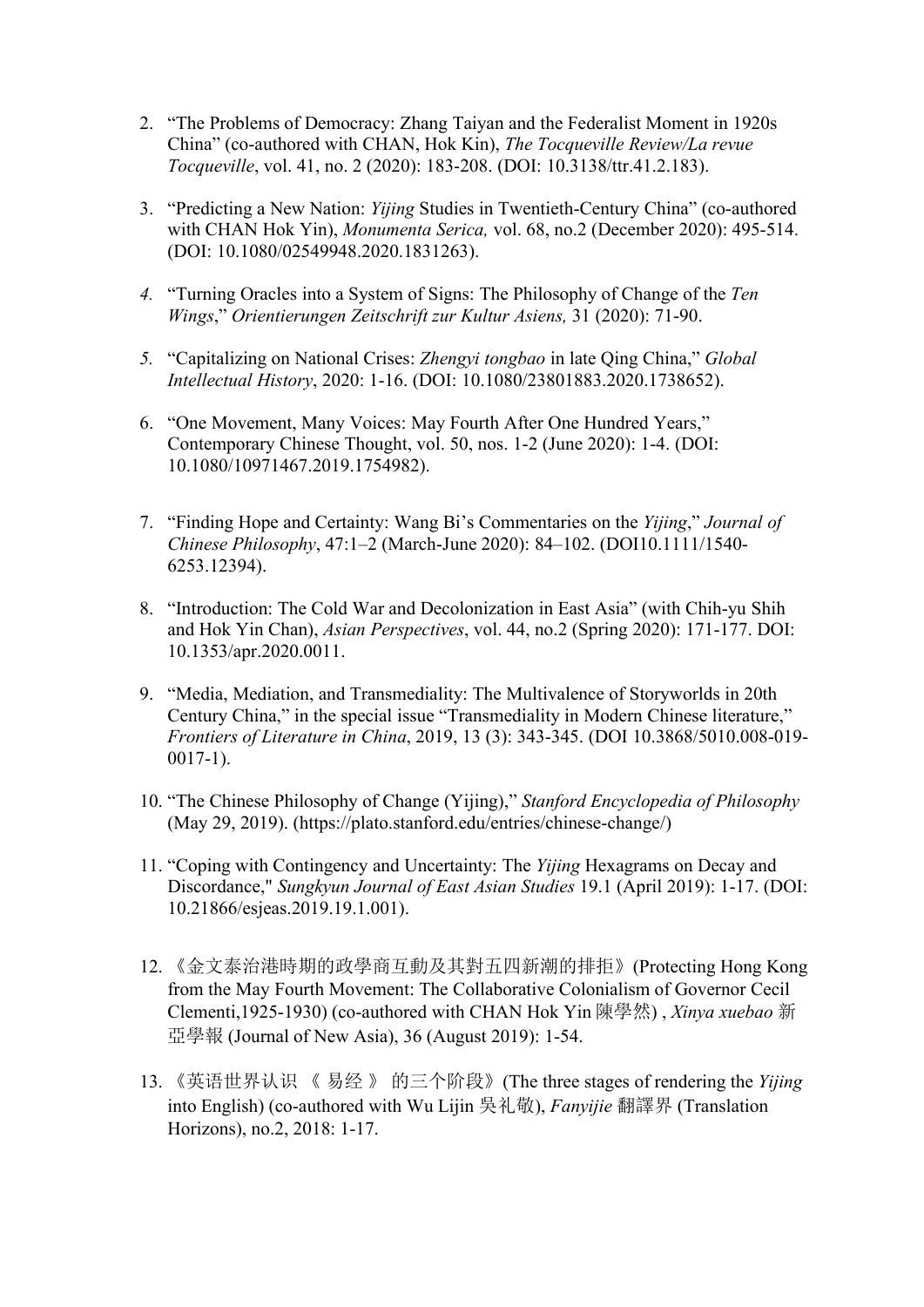- 2. "The Problems of Democracy: Zhang Taiyan and the Federalist Moment in 1920s China" (co-authored with CHAN, Hok Kin), *The Tocqueville Review/La revue Tocqueville*, vol. 41, no. 2 (2020): 183-208. (DOI: 10.3138/ttr.41.2.183).
- 3. "Predicting a New Nation: *Yijing* Studies in Twentieth-Century China" (co-authored with CHAN Hok Yin), *Monumenta Serica,* vol. 68, no.2 (December 2020): 495-514. (DOI: 10.1080/02549948.2020.1831263).
- *4.* "Turning Oracles into a System of Signs: The Philosophy of Change of the *Ten Wings*," *Orientierungen Zeitschrift zur Kultur Asiens,* 31 (2020): 71-90.
- *5.* "Capitalizing on National Crises: *Zhengyi tongbao* in late Qing China," *Global Intellectual History*, 2020: 1-16. (DOI: 10.1080/23801883.2020.1738652).
- 6. "One Movement, Many Voices: May Fourth After One Hundred Years," Contemporary Chinese Thought, vol. 50, nos. 1-2 (June 2020): 1-4. (DOI: 10.1080/10971467.2019.1754982).
- 7. "Finding Hope and Certainty:Wang Bi's Commentaries on the *Yijing*," *Journal of Chinese Philosophy*, 47:1–2 (March-June 2020): 84–102. (DOI10.1111/1540- 6253.12394).
- 8. "Introduction: The Cold War and Decolonization in East Asia" (with Chih-yu Shih and Hok Yin Chan), *Asian Perspectives*, vol. 44, no.2 (Spring 2020): 171-177. DOI: 10.1353/apr.2020.0011.
- 9. "Media, Mediation, and Transmediality: The Multivalence of Storyworlds in 20th Century China," in the special issue "Transmediality in Modern Chinese literature," *Frontiers of Literature in China*, 2019, 13 (3): 343-345. (DOI 10.3868/5010.008-019- 0017-1).
- 10. "The Chinese Philosophy of Change (Yijing)," *Stanford Encyclopedia of Philosophy* (May 29, 2019). (https://plato.stanford.edu/entries/chinese-change/)
- 11. "Coping with Contingency and Uncertainty: The *Yijing* Hexagrams on Decay and Discordance," *Sungkyun Journal of East Asian Studies* 19.1 (April 2019): 1-17. (DOI: 10.21866/esjeas.2019.19.1.001).
- 12. 《金文泰治港時期的政學商互動及其對五四新潮的排拒》(Protecting Hong Kong from the May Fourth Movement: The Collaborative Colonialism of Governor Cecil Clementi,1925-1930) (co-authored with CHAN Hok Yin 陳學然) , *Xinya xuebao* 新 亞學報 (Journal of New Asia), 36 (August 2019): 1-54.
- 13. 《英语世界认识 《 易经 》 的三个阶段》(The three stages ofrendering the *Yijing* into English) (co-authored with Wu Lijin 吳礼敬), *Fanyijie* 翻譯界 (Translation Horizons), no.2, 2018: 1-17.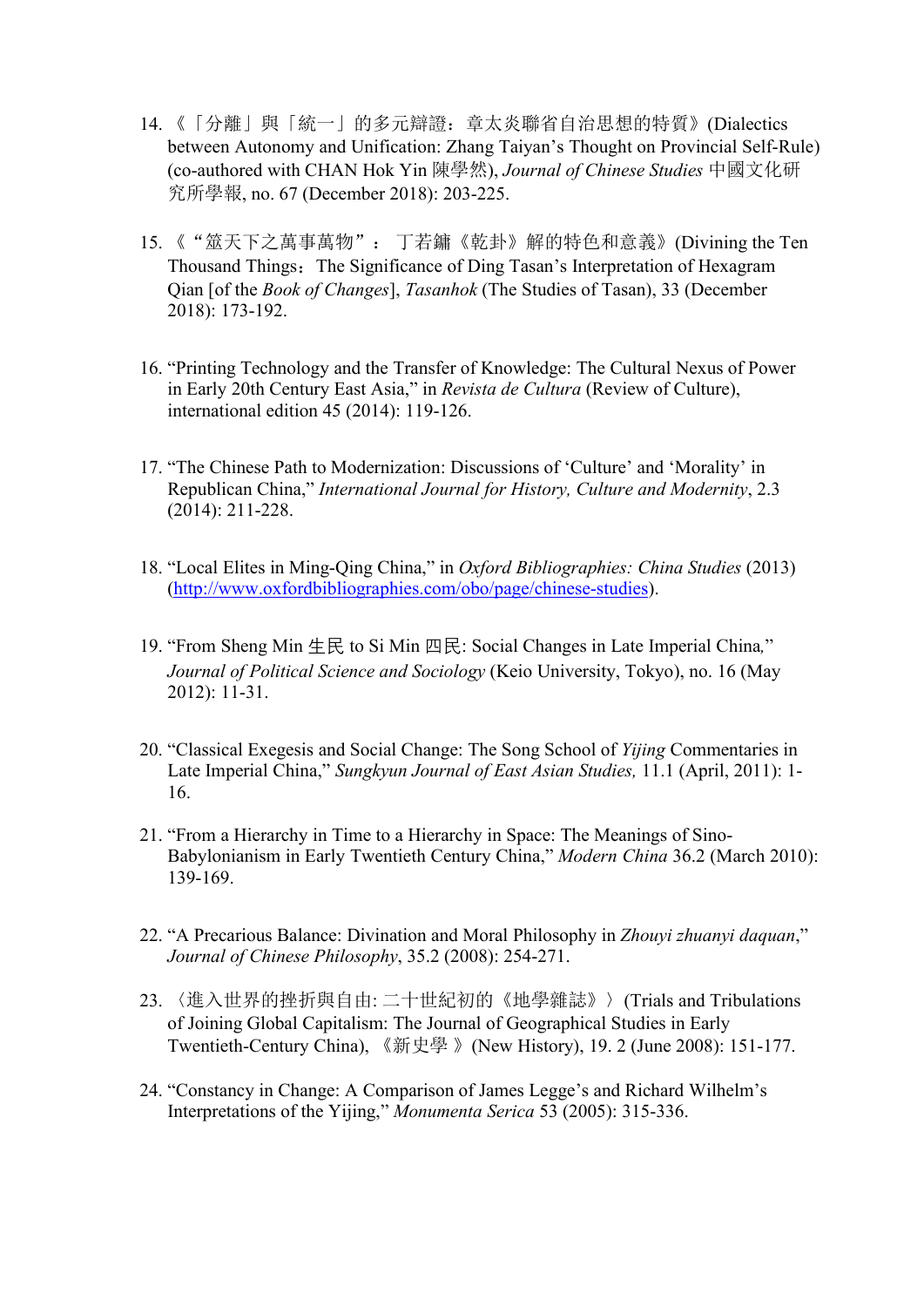- 14. 《「分離」與「統一」的多元辯證: 章太炎聯省自治思想的特質》(Dialectics between Autonomy and Unification: Zhang Taiyan's Thought on Provincial Self-Rule) (co-authored with CHAN Hok Yin 陳學然), *Journal of Chinese Studies* 中國文化研 究所學報, no. 67 (December 2018): 203-225.
- 15. 《"筮天下之萬事萬物": 丁若鏞《乾卦》解的特色和意義》(Divining the Ten Thousand Things: The Significance of Ding Tasan's Interpretation of Hexagram Qian [of the *Book of Changes*], *Tasanhok* (The Studies of Tasan), 33 (December 2018): 173-192.
- 16. "Printing Technology and the Transfer of Knowledge: The Cultural Nexus of Power in Early 20th Century East Asia," in *Revista de Cultura* (Review of Culture), international edition 45 (2014): 119-126.
- 17. "The Chinese Path to Modernization: Discussions of 'Culture' and 'Morality' in Republican China," *International Journal for History, Culture and Modernity*, 2.3 (2014): 211-228.
- 18. "Local Elites in Ming-Qing China," in *Oxford Bibliographies: China Studies* (2013) ([http://www.oxfordbibliographies.com/obo/page/chinese-studies\)](http://www.oxfordbibliographies.com/obo/page/chinese-studies).
- 19. "From Sheng Min 生民 to Si Min 四民: Social Changes in Late Imperial China*,*" *Journal of Political Science and Sociology* (Keio University,Tokyo), no. 16 (May 2012): 11-31.
- 20. "Classical Exegesis and Social Change: The Song School of *Yijing* Commentaries in Late Imperial China," *Sungkyun Journal of East Asian Studies,* 11.1 (April, 2011): 1- 16.
- 21. "From a Hierarchy in Time to a Hierarchy in Space: The Meanings of Sino-Babylonianism in Early Twentieth Century China," *Modern China* 36.2 (March 2010): 139-169.
- 22. "A Precarious Balance: Divination and Moral Philosophy in *Zhouyi zhuanyi daquan*," *Journal of Chinese Philosophy*, 35.2 (2008): 254-271.
- 23. 〈進入世界的挫折與自由: 二十世紀初的《地學雜誌》〉(Trials and Tribulations of Joining Global Capitalism: The Journal of Geographical Studies in Early Twentieth-Century China), 《新史學 》(New History), 19. 2 (June 2008): 151-177.
- 24. "Constancy in Change: A Comparison of James Legge's and Richard Wilhelm's Interpretations of the Yijing," *Monumenta Serica* 53 (2005): 315-336.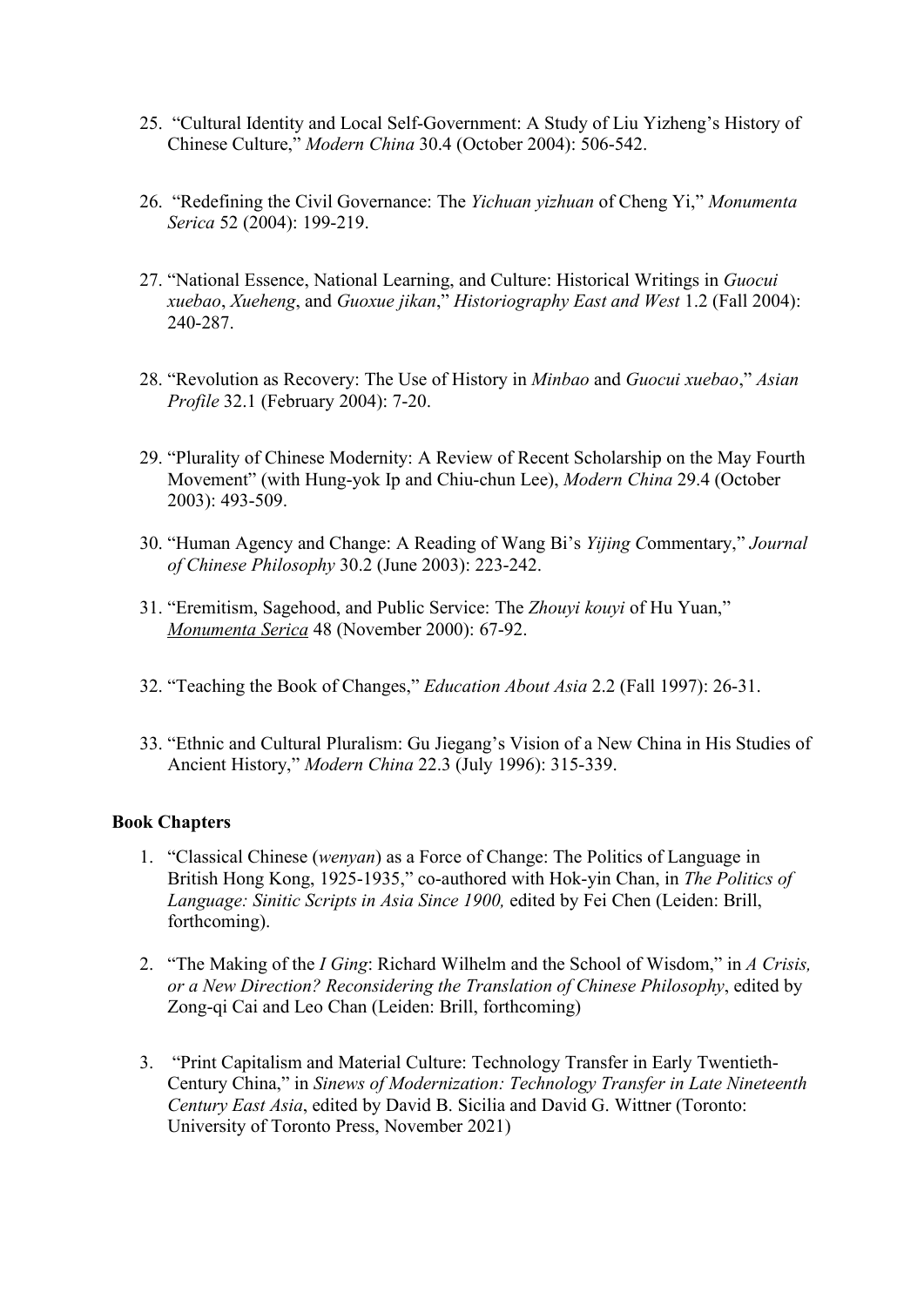- 25. "Cultural Identity and Local Self-Government: A Study of Liu Yizheng's History of Chinese Culture," *Modern China* 30.4 (October 2004): 506-542.
- 26. "Redefining the Civil Governance: The *Yichuan yizhuan* of Cheng Yi," *Monumenta Serica* 52 (2004): 199-219.
- 27. "National Essence, National Learning, and Culture: Historical Writings in *Guocui xuebao*, *Xueheng*, and *Guoxue jikan*," *Historiography East and West* 1.2 (Fall 2004): 240-287.
- 28. "Revolution as Recovery: The Use of History in *Minbao* and *Guocui xuebao*," *Asian Profile* 32.1 (February 2004): 7-20.
- 29. "Plurality of Chinese Modernity: A Review of Recent Scholarship on the May Fourth Movement" (with Hung-yok Ip and Chiu-chun Lee), *Modern China* 29.4 (October 2003): 493-509.
- 30. "Human Agency and Change: A Reading of Wang Bi's *Yijing C*ommentary," *Journal of Chinese Philosophy* 30.2 (June 2003): 223-242.
- 31. "Eremitism, Sagehood, and Public Service: The *Zhouyi kouyi* of Hu Yuan," *Monumenta Serica* 48 (November 2000): 67-92.
- 32. "Teaching the Book of Changes," *Education About Asia* 2.2 (Fall 1997): 26-31.
- 33. "Ethnic and Cultural Pluralism: Gu Jiegang's Vision of a New China in His Studies of Ancient History," *Modern China* 22.3 (July 1996): 315-339.

#### **Book Chapters**

- 1. "Classical Chinese (*wenyan*) as a Force of Change: The Politics ofLanguage in British Hong Kong, 1925-1935," co-authored with Hok-yin Chan, in *The Politics of Language: Sinitic Scripts in Asia Since 1900,* edited by Fei Chen (Leiden: Brill, forthcoming).
- 2. "The Making of the *IGing*: Richard Wilhelm and the School of Wisdom," in *A Crisis, or a New Direction? Reconsidering the Translation of Chinese Philosophy*, edited by Zong-qi Cai and Leo Chan (Leiden: Brill, forthcoming)
- 3. "Print Capitalism and Material Culture: Technology Transfer in Early Twentieth- Century China," in *Sinews of Modernization: Technology Transfer in Late Nineteenth Century East Asia*, edited by David B. Sicilia and David G. Wittner (Toronto: University of Toronto Press, November 2021)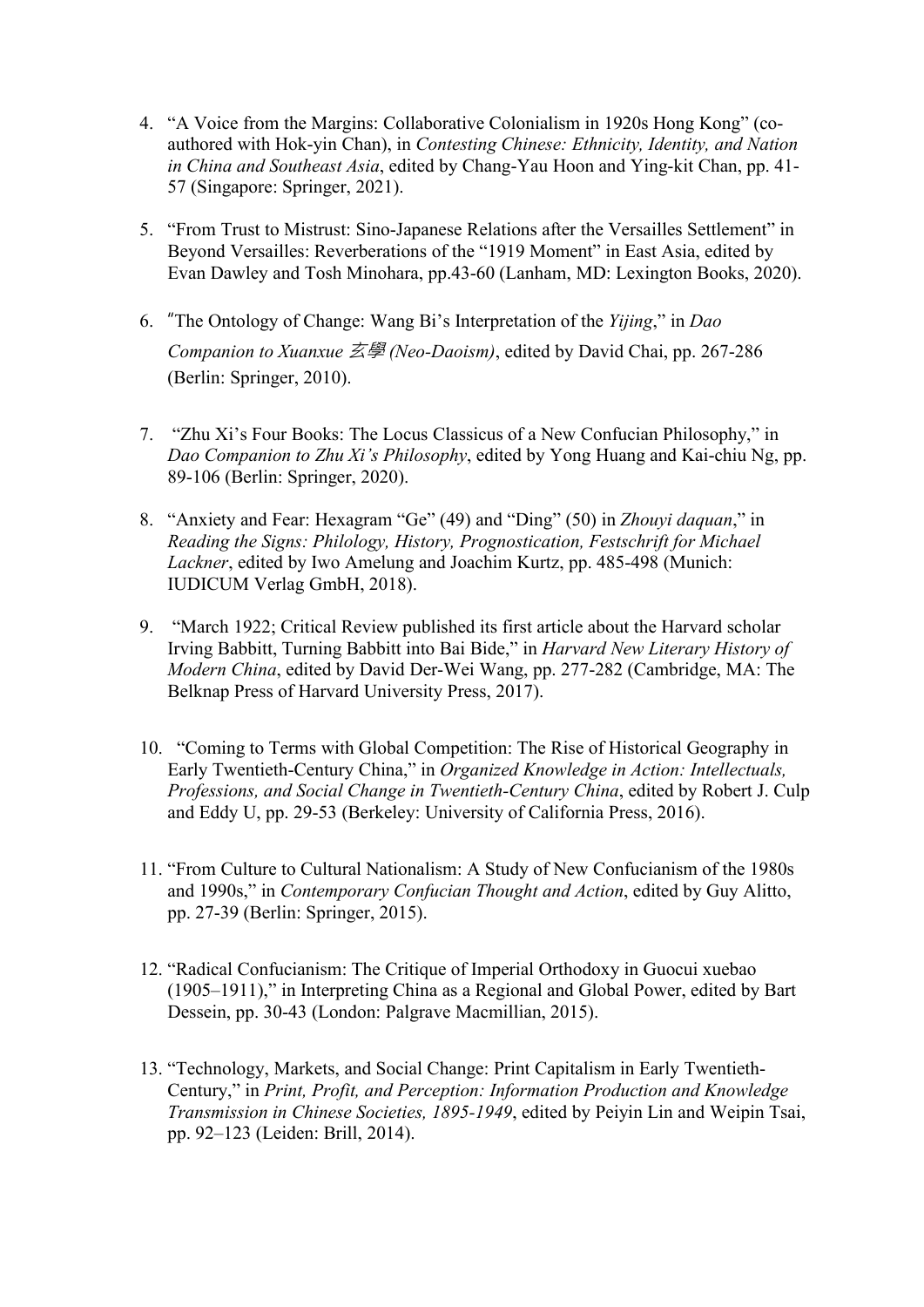- 4. "A Voice from the Margins: Collaborative Colonialism in 1920s Hong Kong" (co authored with Hok-yin Chan), in *Contesting Chinese: Ethnicity, Identity, and Nation in China and Southeast Asia*, edited by Chang-Yau Hoon and Ying-kit Chan, pp. 41- 57 (Singapore: Springer, 2021).
- 5. "From Trust to Mistrust: Sino-Japanese Relations after the Versailles Settlement" in Beyond Versailles: Reverberations of the "1919 Moment" in East Asia, edited by Evan Dawley and Tosh Minohara, pp.43-60 (Lanham, MD: Lexington Books, 2020).
- 6. "The Ontology of Change: Wang Bi's Interpretation of the *Yijing*," in *Dao Companion to Xuanxue* 玄學 *(Neo-Daoism)*, edited by David Chai, pp. 267-286 (Berlin: Springer, 2010).
- 7. "Zhu Xi's Four Books: The Locus Classicus ofa New Confucian Philosophy," in *Dao Companion to Zhu Xi's Philosophy*, edited by Yong Huang and Kai-chiu Ng, pp. 89-106 (Berlin: Springer, 2020).
- 8. "Anxiety and Fear: Hexagram "Ge" (49) and "Ding" (50) in *Zhouyi daquan*," in *Reading the Signs: Philology, History, Prognostication, Festschrift for Michael Lackner*, edited by Iwo Amelung and Joachim Kurtz, pp. 485-498 (Munich: IUDICUM Verlag GmbH, 2018).
- 9. "March 1922; Critical Review published its first article about the Harvard scholar Irving Babbitt, Turning Babbitt into Bai Bide," in *Harvard New Literary History of Modern China*, edited by David Der-Wei Wang, pp. 277-282 (Cambridge, MA: The Belknap Press of Harvard University Press, 2017).
- 10. "Coming to Terms with Global Competition: The Rise of Historical Geography in Early Twentieth-Century China," in *Organized Knowledge in Action:Intellectuals, Professions, and Social Change in Twentieth-Century China*, edited by RobertJ. Culp and Eddy U, pp. 29-53 (Berkeley: University of California Press, 2016).
- 11. "From Culture to Cultural Nationalism: A Study of New Confucianism of the 1980s and 1990s," in *Contemporary Confucian Thought and Action*, edited by Guy Alitto, pp. 27-39 (Berlin: Springer, 2015).
- 12. "Radical Confucianism: The Critique of Imperial Orthodoxy in Guocui xuebao (1905‒1911)," in Interpreting China as a Regional and Global Power, edited by Bart Dessein, pp. 30-43 (London: Palgrave Macmillian, 2015).
- 13. "Technology, Markets, and Social Change: Print Capitalism in Early Twentieth- Century," in *Print, Profit, and Perception: Information Production and Knowledge Transmission in Chinese Societies, 1895-1949*, edited by Peiyin Lin and Weipin Tsai, pp. 92‒123 (Leiden: Brill, 2014).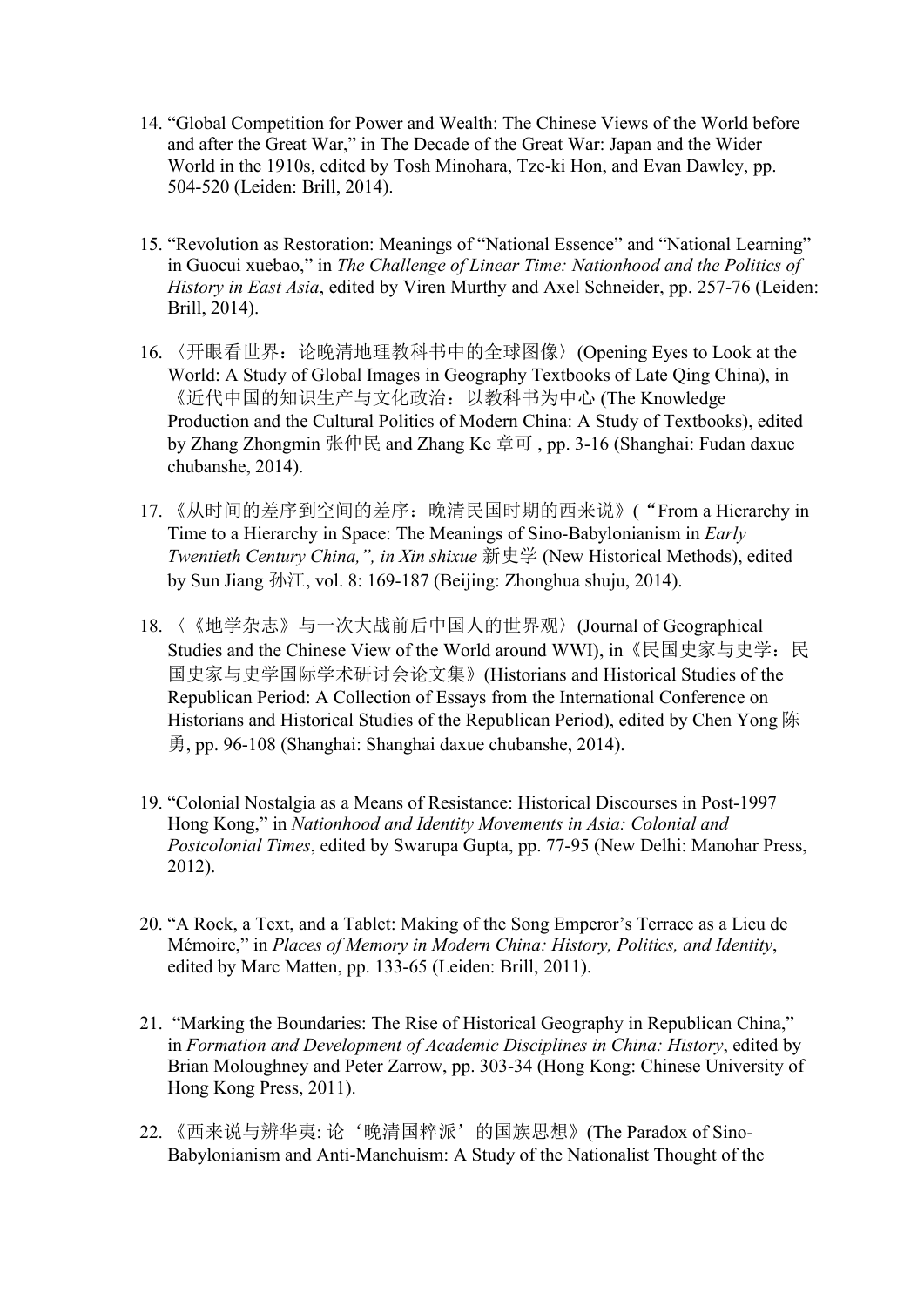- 14. "Global Competition for Power and Wealth: The Chinese Views of the World before and after the Great War," in The Decade of the Great War: Japan and the Wider World in the 1910s, edited by Tosh Minohara, Tze-ki Hon, and Evan Dawley, pp. 504-520 (Leiden: Brill, 2014).
- 15. "Revolution as Restoration: Meanings of "National Essence" and "National Learning" in Guocui xuebao," in *The Challenge of Linear Time: Nationhood and the Politics of History in East Asia*, edited by Viren Murthy and Axel Schneider, pp. 257-76 (Leiden: Brill, 2014).
- 16. 〈开眼看世界:论晚清地理教科书中的全球图像〉(Opening Eyes to Look at the World: A Study of Global Images in Geography Textbooks of Late Qing China), in 《近代中国的知识生产与文化政治:以教科书为中心 (The Knowledge Production and the Cultural Politics of Modern China: A Study of Textbooks), edited by Zhang Zhongmin 张仲民 and Zhang Ke 章可 , pp. 3-16 (Shanghai: Fudan daxue chubanshe, 2014).
- 17. 《从时间的差序到空间的差序: 晚清民国时期的西来说》("From a Hierarchy in Time to a Hierarchy in Space: The Meanings of Sino-Babylonianism in *Early Twentieth Century China,", in Xin shixue* 新史学 (New Historical Methods), edited by Sun Jiang 孙江, vol. 8: 169-187 (Beijing: Zhonghua shuju, 2014).
- 18. 〈《地学杂志》与一次大战前后中国人的世界观〉(Journal of Geographical Studies and the Chinese View of the World around WWI), in《民国史家与史学:民 国史家与史学国际学术研讨会论文集》(Historians and Historical Studies ofthe Republican Period: A Collection of Essays from the International Conference on Historians and Historical Studies of the Republican Period), edited by Chen Yong 陈 勇, pp. 96-108 (Shanghai: Shanghai daxue chubanshe, 2014).
- 19. "Colonial Nostalgia as a Means of Resistance: Historical Discourses in Post-1997 Hong Kong," in *Nationhood and Identity Movements in Asia: Colonial and Postcolonial Times*, edited by Swarupa Gupta, pp. 77-95 (New Delhi: Manohar Press, 2012).
- 20. "A Rock, a Text, and a Tablet: Making of the Song Emperor's Terrace as a Lieu de Mémoire," in *Places of Memory in Modern China: History, Politics, and Identity*, edited by Marc Matten, pp. 133-65 (Leiden: Brill, 2011).
- 21. "Marking the Boundaries: The Rise of Historical Geography in Republican China," in *Formation and Development of Academic Disciplines in China: History*, edited by Brian Moloughney and Peter Zarrow, pp. 303-34 (Hong Kong: Chinese University of Hong Kong Press, 2011).
- 22. 《西来说与辨华夷: 论'晚清国粹派'的国族思想》(The Paradox of Sino-Babylonianism and Anti-Manchuism: A Study of the Nationalist Thought of the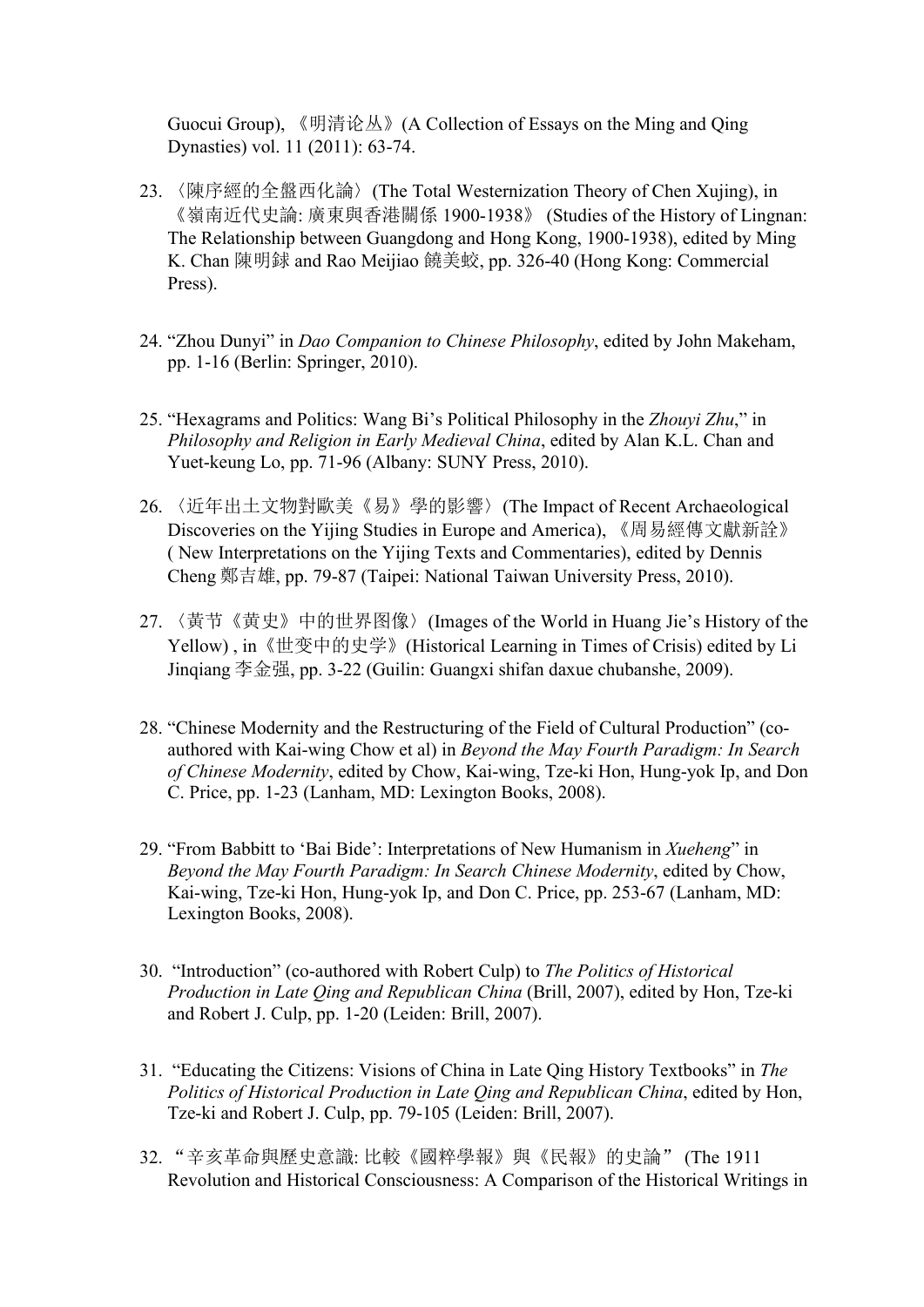Guocui Group), 《明清论丛》(A Collection of Essays on the Ming and Qing Dynasties) vol. 11 (2011): 63-74.

- 23. 〈陳序經的全盤西化論〉(The Total Westernization Theory of Chen Xujing), in 《嶺南近代史論: 廣東與香港關係 1900-1938》 (Studies of the History of Lingnan: The Relationship between Guangdong and Hong Kong, 1900-1938), edited by Ming K. Chan 陳明銶 and Rao Meijiao 饒美蛟, pp. 326-40 (Hong Kong: Commercial Press).
- 24. "Zhou Dunyi" in *Dao Companion to Chinese Philosophy*, edited by John Makeham, pp. 1-16 (Berlin: Springer, 2010).
- 25. "Hexagrams and Politics: Wang Bi's Political Philosophy in the *Zhouyi Zhu*," in *Philosophy and Religion in Early Medieval China*, edited by Alan K.L. Chan and Yuet-keung Lo, pp. 71-96 (Albany: SUNY Press, 2010).
- 26. 〈近年出土文物對歐美《易》學的影響〉(The Impact of Recent Archaeological Discoveries on the Yijing Studies in Europe and America), 《周易經傳文獻新詮》 ( New Interpretations on the Yijing Texts and Commentaries), edited by Dennis Cheng 鄭吉雄, pp. 79-87 (Taipei: National Taiwan University Press, 2010).
- 27. 〈黃节《黄史》中的世界图像〉(Images of the World in Huang Jie's History of the Yellow) , in《世变中的史学》(Historical Learning in Times of Crisis) edited by Li Jinqiang 李金强, pp. 3-22 (Guilin: Guangxi shifan daxue chubanshe, 2009).
- 28. "Chinese Modernity and the Restructuring of the Field of Cultural Production" (co authored with Kai-wing Chow et al) in *Beyond the May Fourth Paradigm: In Search of Chinese Modernity*, edited by Chow, Kai-wing, Tze-ki Hon, Hung-yok Ip, and Don C. Price, pp. 1-23 (Lanham, MD: Lexington Books, 2008).
- 29. "From Babbitt to 'Bai Bide': Interpretations of New Humanism in *Xueheng*" in *Beyond the May Fourth Paradigm: In Search Chinese Modernity*, edited by Chow, Kai-wing, Tze-ki Hon, Hung-yok Ip, and Don C. Price, pp. 253-67 (Lanham, MD: Lexington Books, 2008).
- 30. "Introduction" (co-authored with Robert Culp) to *The Politics of Historical Production in Late Qing and Republican China* (Brill, 2007), edited by Hon, Tze-ki and Robert J. Culp, pp. 1-20 (Leiden: Brill, 2007).
- 31. "Educating the Citizens: Visions ofChina in Late Qing History Textbooks" in *The Politics of Historical Production in Late Qing and Republican China*, edited by Hon, Tze-ki and Robert J. Culp, pp. 79-105 (Leiden: Brill, 2007).
- 32. "辛亥革命與歷史意識: 比較《國粹學報》與《民報》的史論" (The 1911 Revolution and Historical Consciousness: A Comparison of the Historical Writings in